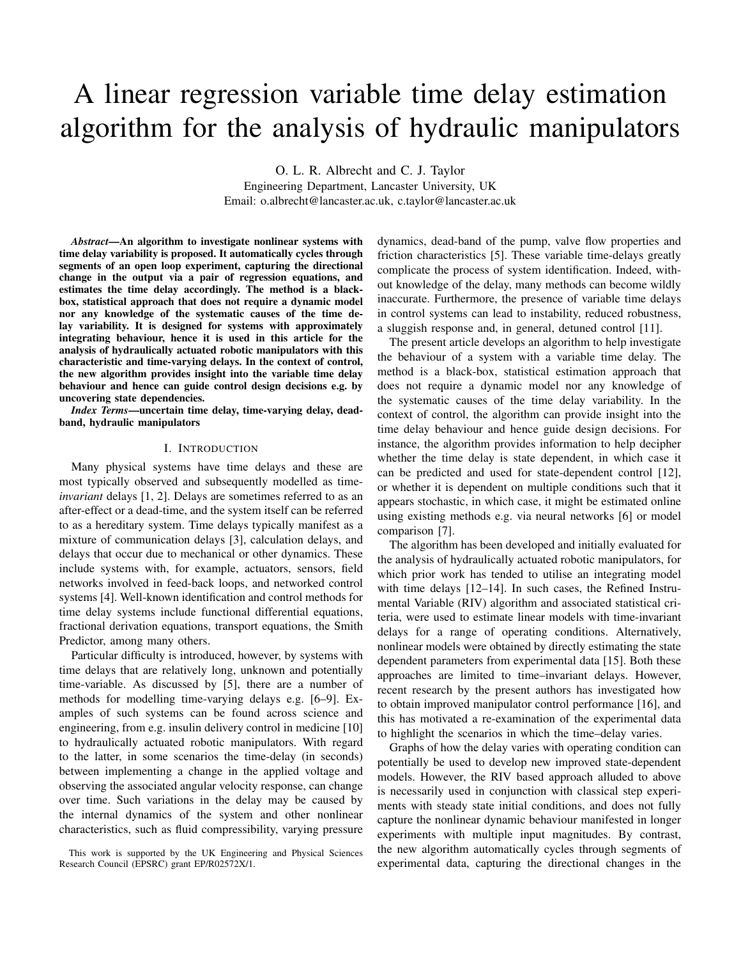# A linear regression variable time delay estimation algorithm for the analysis of hydraulic manipulators

O. L. R. Albrecht and C. J. Taylor Engineering Department, Lancaster University, UK Email: o.albrecht@lancaster.ac.uk, c.taylor@lancaster.ac.uk

*Abstract*—An algorithm to investigate nonlinear systems with time delay variability is proposed. It automatically cycles through segments of an open loop experiment, capturing the directional change in the output via a pair of regression equations, and estimates the time delay accordingly. The method is a blackbox, statistical approach that does not require a dynamic model nor any knowledge of the systematic causes of the time delay variability. It is designed for systems with approximately integrating behaviour, hence it is used in this article for the analysis of hydraulically actuated robotic manipulators with this characteristic and time-varying delays. In the context of control, the new algorithm provides insight into the variable time delay behaviour and hence can guide control design decisions e.g. by uncovering state dependencies.

*Index Terms*—uncertain time delay, time-varying delay, deadband, hydraulic manipulators

# I. INTRODUCTION

Many physical systems have time delays and these are most typically observed and subsequently modelled as time*invariant* delays [1, 2]. Delays are sometimes referred to as an after-effect or a dead-time, and the system itself can be referred to as a hereditary system. Time delays typically manifest as a mixture of communication delays [3], calculation delays, and delays that occur due to mechanical or other dynamics. These include systems with, for example, actuators, sensors, field networks involved in feed-back loops, and networked control systems [4]. Well-known identification and control methods for time delay systems include functional differential equations, fractional derivation equations, transport equations, the Smith Predictor, among many others.

Particular difficulty is introduced, however, by systems with time delays that are relatively long, unknown and potentially time-variable. As discussed by [5], there are a number of methods for modelling time-varying delays e.g. [6–9]. Examples of such systems can be found across science and engineering, from e.g. insulin delivery control in medicine [10] to hydraulically actuated robotic manipulators. With regard to the latter, in some scenarios the time-delay (in seconds) between implementing a change in the applied voltage and observing the associated angular velocity response, can change over time. Such variations in the delay may be caused by the internal dynamics of the system and other nonlinear characteristics, such as fluid compressibility, varying pressure dynamics, dead-band of the pump, valve flow properties and friction characteristics [5]. These variable time-delays greatly complicate the process of system identification. Indeed, without knowledge of the delay, many methods can become wildly inaccurate. Furthermore, the presence of variable time delays in control systems can lead to instability, reduced robustness, a sluggish response and, in general, detuned control [11].

The present article develops an algorithm to help investigate the behaviour of a system with a variable time delay. The method is a black-box, statistical estimation approach that does not require a dynamic model nor any knowledge of the systematic causes of the time delay variability. In the context of control, the algorithm can provide insight into the time delay behaviour and hence guide design decisions. For instance, the algorithm provides information to help decipher whether the time delay is state dependent, in which case it can be predicted and used for state-dependent control [12], or whether it is dependent on multiple conditions such that it appears stochastic, in which case, it might be estimated online using existing methods e.g. via neural networks [6] or model comparison [7].

The algorithm has been developed and initially evaluated for the analysis of hydraulically actuated robotic manipulators, for which prior work has tended to utilise an integrating model with time delays [12–14]. In such cases, the Refined Instrumental Variable (RIV) algorithm and associated statistical criteria, were used to estimate linear models with time-invariant delays for a range of operating conditions. Alternatively, nonlinear models were obtained by directly estimating the state dependent parameters from experimental data [15]. Both these approaches are limited to time–invariant delays. However, recent research by the present authors has investigated how to obtain improved manipulator control performance [16], and this has motivated a re-examination of the experimental data to highlight the scenarios in which the time–delay varies.

Graphs of how the delay varies with operating condition can potentially be used to develop new improved state-dependent models. However, the RIV based approach alluded to above is necessarily used in conjunction with classical step experiments with steady state initial conditions, and does not fully capture the nonlinear dynamic behaviour manifested in longer experiments with multiple input magnitudes. By contrast, the new algorithm automatically cycles through segments of experimental data, capturing the directional changes in the

This work is supported by the UK Engineering and Physical Sciences Research Council (EPSRC) grant EP/R02572X/1.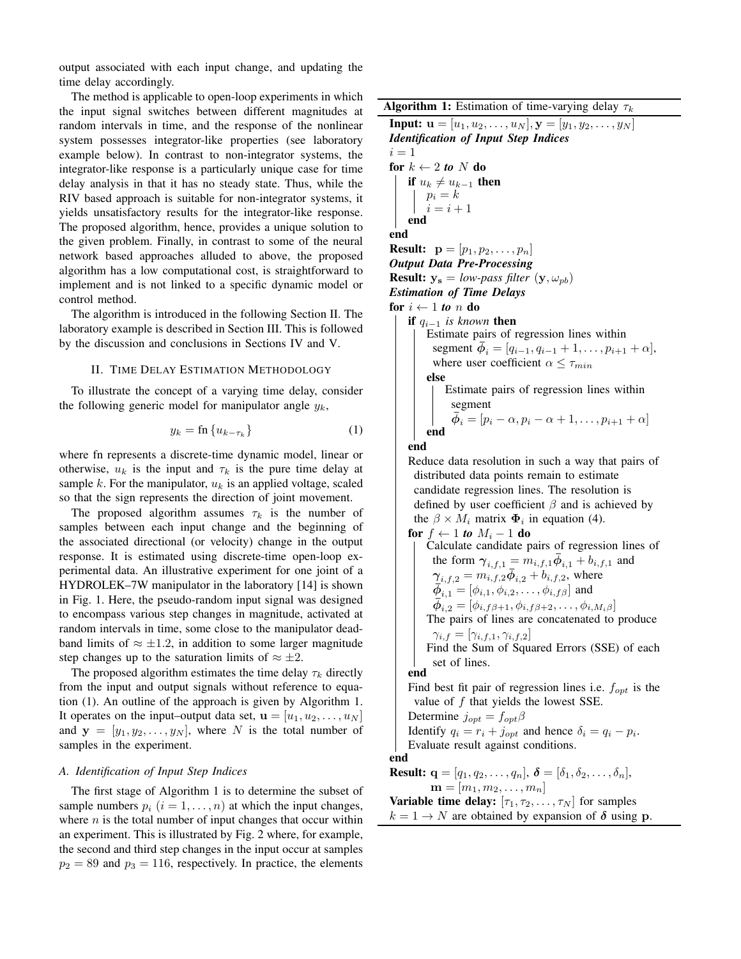output associated with each input change, and updating the time delay accordingly.

The method is applicable to open-loop experiments in which the input signal switches between different magnitudes at random intervals in time, and the response of the nonlinear system possesses integrator-like properties (see laboratory example below). In contrast to non-integrator systems, the integrator-like response is a particularly unique case for time delay analysis in that it has no steady state. Thus, while the RIV based approach is suitable for non-integrator systems, it yields unsatisfactory results for the integrator-like response. The proposed algorithm, hence, provides a unique solution to the given problem. Finally, in contrast to some of the neural network based approaches alluded to above, the proposed algorithm has a low computational cost, is straightforward to implement and is not linked to a specific dynamic model or control method.

The algorithm is introduced in the following Section II. The laboratory example is described in Section III. This is followed by the discussion and conclusions in Sections IV and V.

#### II. TIME DELAY ESTIMATION METHODOLOGY

To illustrate the concept of a varying time delay, consider the following generic model for manipulator angle  $y_k$ ,

$$
y_k = \text{fn}\left\{u_{k-\tau_k}\right\} \tag{1}
$$

where fn represents a discrete-time dynamic model, linear or otherwise,  $u_k$  is the input and  $\tau_k$  is the pure time delay at sample k. For the manipulator,  $u_k$  is an applied voltage, scaled so that the sign represents the direction of joint movement.

The proposed algorithm assumes  $\tau_k$  is the number of samples between each input change and the beginning of the associated directional (or velocity) change in the output response. It is estimated using discrete-time open-loop experimental data. An illustrative experiment for one joint of a HYDROLEK–7W manipulator in the laboratory [14] is shown in Fig. 1. Here, the pseudo-random input signal was designed to encompass various step changes in magnitude, activated at random intervals in time, some close to the manipulator deadband limits of  $\approx \pm 1.2$ , in addition to some larger magnitude step changes up to the saturation limits of  $\approx \pm 2$ .

The proposed algorithm estimates the time delay  $\tau_k$  directly from the input and output signals without reference to equation (1). An outline of the approach is given by Algorithm 1. It operates on the input–output data set,  $\mathbf{u} = [u_1, u_2, \dots, u_N]$ and  $y = [y_1, y_2, \dots, y_N]$ , where N is the total number of samples in the experiment.

## *A. Identification of Input Step Indices*

The first stage of Algorithm 1 is to determine the subset of sample numbers  $p_i$   $(i = 1, \ldots, n)$  at which the input changes, where  $n$  is the total number of input changes that occur within an experiment. This is illustrated by Fig. 2 where, for example, the second and third step changes in the input occur at samples  $p_2 = 89$  and  $p_3 = 116$ , respectively. In practice, the elements

**Algorithm 1:** Estimation of time-varying delay  $\tau_k$ 

**Input:**  $\mathbf{u} = [u_1, u_2, \dots, u_N], \mathbf{y} = [y_1, y_2, \dots, y_N]$ *Identification of Input Step Indices*  $i = 1$ for  $k \leftarrow 2$  to N do if  $u_k \neq u_{k-1}$  then  $p_i = k$  $i = i + 1$ end end **Result:**  $p = [p_1, p_2, \ldots, p_n]$ *Output Data Pre-Processing* **Result:**  $y_s = low-pass filter (y, \omega_{pb})$ *Estimation of Time Delays* for  $i \leftarrow 1$  to n do if qi−<sup>1</sup> *is known* then Estimate pairs of regression lines within segment  $\bar{\phi}_i = [q_{i-1}, q_{i-1} + 1, \dots, p_{i+1} + \alpha],$ where user coefficient  $\alpha \leq \tau_{min}$ else Estimate pairs of regression lines within segment  $\bar{\phi}_i = [p_i - \alpha, p_i - \alpha + 1, \dots, p_{i+1} + \alpha]$ end end Reduce data resolution in such a way that pairs of distributed data points remain to estimate candidate regression lines. The resolution is defined by user coefficient  $\beta$  and is achieved by the  $\beta \times M_i$  matrix  $\Phi_i$  in equation (4). for  $f \leftarrow 1$  *to*  $M_i - 1$  do Calculate candidate pairs of regression lines of the form  $\gamma_{i,f,1} = m_{i,f,1} \overline{\phi}_{i,1} + b_{i,f,1}$  and  $\gamma_{i,f,2} = m_{i,f,2} \bar{\phi}_{i,2} + b_{i,f,2}$ , where  $\bar{\phi}_{i,1} = [\phi_{i,1}, \phi_{i,2}, \dots, \phi_{i,f\beta}]$  and  $\bar{\phi}_{i,2} = [\phi_{i,f\beta+1}, \phi_{i,f\beta+2}, \ldots, \phi_{i,M_i\beta}]$ The pairs of lines are concatenated to produce  $\gamma_{i,f} = [\gamma_{i,f,1}, \gamma_{i,f,2}]$ Find the Sum of Squared Errors (SSE) of each set of lines. end Find best fit pair of regression lines i.e.  $f_{opt}$  is the value of  $f$  that yields the lowest SSE. Determine  $j_{opt} = f_{opt} \beta$ Identify  $q_i = r_i + j_{opt}$  and hence  $\delta_i = q_i - p_i$ . Evaluate result against conditions. end **Result:**  $\mathbf{q} = [q_1, q_2, \dots, q_n], \ \boldsymbol{\delta} = [\delta_1, \delta_2, \dots, \delta_n],$  $$ **Variable time delay:**  $[\tau_1, \tau_2, \ldots, \tau_N]$  for samples  $k = 1 \rightarrow N$  are obtained by expansion of  $\delta$  using p.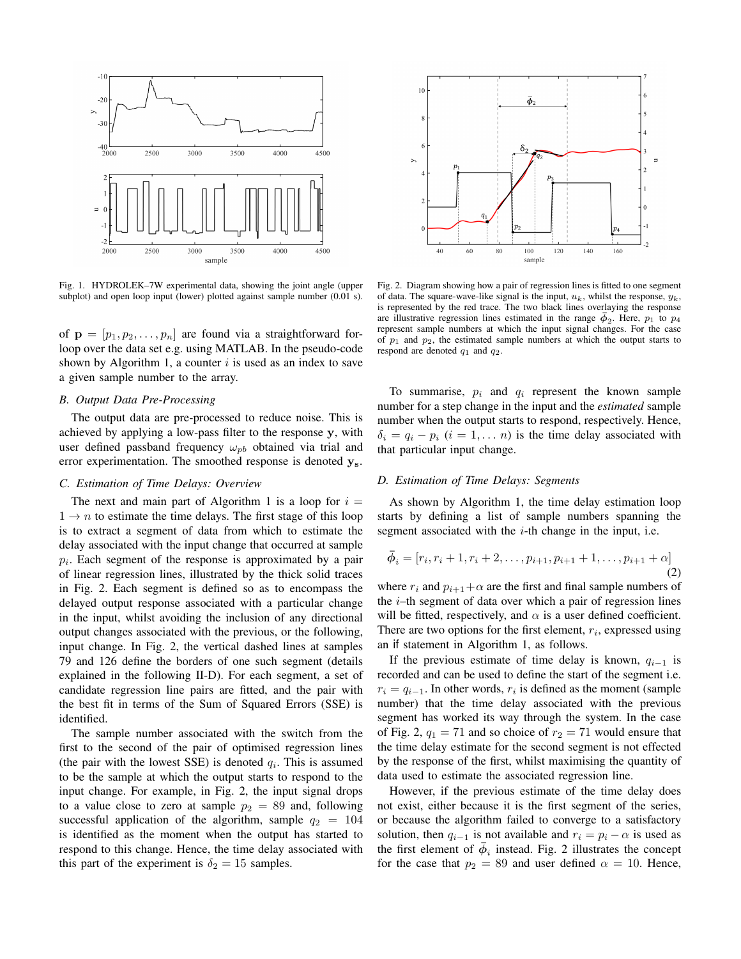

Fig. 1. HYDROLEK–7W experimental data, showing the joint angle (upper subplot) and open loop input (lower) plotted against sample number (0.01 s).

of  $\mathbf{p} = [p_1, p_2, \dots, p_n]$  are found via a straightforward forloop over the data set e.g. using MATLAB. In the pseudo-code shown by Algorithm 1, a counter  $i$  is used as an index to save a given sample number to the array.

# *B. Output Data Pre-Processing*

The output data are pre-processed to reduce noise. This is achieved by applying a low-pass filter to the response y, with user defined passband frequency  $\omega_{nb}$  obtained via trial and error experimentation. The smoothed response is denoted  $y_s$ .

#### *C. Estimation of Time Delays: Overview*

The next and main part of Algorithm 1 is a loop for  $i =$  $1 \rightarrow n$  to estimate the time delays. The first stage of this loop is to extract a segment of data from which to estimate the delay associated with the input change that occurred at sample  $p_i$ . Each segment of the response is approximated by a pair of linear regression lines, illustrated by the thick solid traces in Fig. 2. Each segment is defined so as to encompass the delayed output response associated with a particular change in the input, whilst avoiding the inclusion of any directional output changes associated with the previous, or the following, input change. In Fig. 2, the vertical dashed lines at samples 79 and 126 define the borders of one such segment (details explained in the following II-D). For each segment, a set of candidate regression line pairs are fitted, and the pair with the best fit in terms of the Sum of Squared Errors (SSE) is identified.

The sample number associated with the switch from the first to the second of the pair of optimised regression lines (the pair with the lowest SSE) is denoted  $q_i$ . This is assumed to be the sample at which the output starts to respond to the input change. For example, in Fig. 2, the input signal drops to a value close to zero at sample  $p_2 = 89$  and, following successful application of the algorithm, sample  $q_2 = 104$ is identified as the moment when the output has started to respond to this change. Hence, the time delay associated with this part of the experiment is  $\delta_2 = 15$  samples.



Fig. 2. Diagram showing how a pair of regression lines is fitted to one segment of data. The square-wave-like signal is the input,  $u_k$ , whilst the response,  $y_k$ , is represented by the red trace. The two black lines overlaying the response are illustrative regression lines estimated in the range  $\bar{\phi}_2$ . Here,  $p_1$  to  $p_4$ represent sample numbers at which the input signal changes. For the case of  $p_1$  and  $p_2$ , the estimated sample numbers at which the output starts to respond are denoted  $q_1$  and  $q_2$ .

To summarise,  $p_i$  and  $q_i$  represent the known sample number for a step change in the input and the *estimated* sample number when the output starts to respond, respectively. Hence,  $\delta_i = q_i - p_i$  ( $i = 1, \ldots, n$ ) is the time delay associated with that particular input change.

# *D. Estimation of Time Delays: Segments*

As shown by Algorithm 1, the time delay estimation loop starts by defining a list of sample numbers spanning the segment associated with the *i*-th change in the input, i.e.

$$
\bar{\phi}_i = [r_i, r_i + 1, r_i + 2, \dots, p_{i+1}, p_{i+1} + 1, \dots, p_{i+1} + \alpha]
$$
\n(2)

where  $r_i$  and  $p_{i+1}+\alpha$  are the first and final sample numbers of the  $i$ –th segment of data over which a pair of regression lines will be fitted, respectively, and  $\alpha$  is a user defined coefficient. There are two options for the first element,  $r_i$ , expressed using an if statement in Algorithm 1, as follows.

If the previous estimate of time delay is known,  $q_{i-1}$  is recorded and can be used to define the start of the segment i.e.  $r_i = q_{i-1}$ . In other words,  $r_i$  is defined as the moment (sample number) that the time delay associated with the previous segment has worked its way through the system. In the case of Fig. 2,  $q_1 = 71$  and so choice of  $r_2 = 71$  would ensure that the time delay estimate for the second segment is not effected by the response of the first, whilst maximising the quantity of data used to estimate the associated regression line.

However, if the previous estimate of the time delay does not exist, either because it is the first segment of the series, or because the algorithm failed to converge to a satisfactory solution, then  $q_{i-1}$  is not available and  $r_i = p_i - \alpha$  is used as the first element of  $\bar{\phi}_i$  instead. Fig. 2 illustrates the concept for the case that  $p_2 = 89$  and user defined  $\alpha = 10$ . Hence,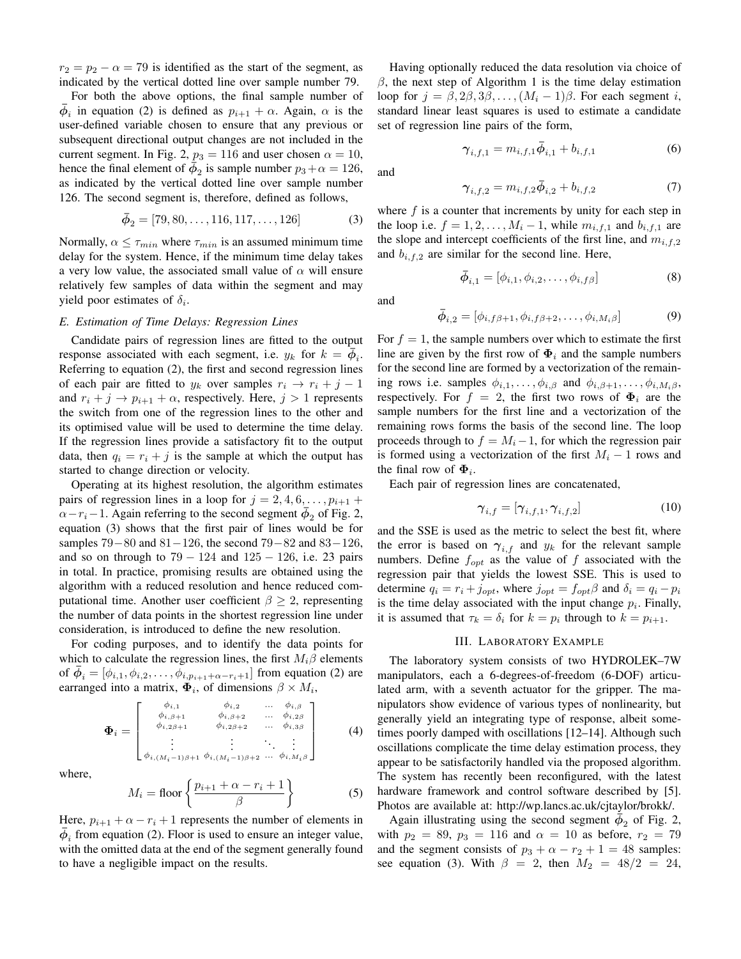$r_2 = p_2 - \alpha = 79$  is identified as the start of the segment, as indicated by the vertical dotted line over sample number 79.

For both the above options, the final sample number of  $\bar{\phi}_i$  in equation (2) is defined as  $p_{i+1} + \alpha$ . Again,  $\alpha$  is the user-defined variable chosen to ensure that any previous or subsequent directional output changes are not included in the current segment. In Fig. 2,  $p_3 = 116$  and user chosen  $\alpha = 10$ , hence the final element of  $\bar{\phi}_2$  is sample number  $p_3 + \alpha = 126$ , as indicated by the vertical dotted line over sample number 126. The second segment is, therefore, defined as follows,

$$
\bar{\phi}_2 = [79, 80, \dots, 116, 117, \dots, 126] \tag{3}
$$

Normally,  $\alpha \leq \tau_{min}$  where  $\tau_{min}$  is an assumed minimum time delay for the system. Hence, if the minimum time delay takes a very low value, the associated small value of  $\alpha$  will ensure relatively few samples of data within the segment and may yield poor estimates of  $\delta_i$ .

# *E. Estimation of Time Delays: Regression Lines*

Candidate pairs of regression lines are fitted to the output response associated with each segment, i.e.  $y_k$  for  $k = \overline{\phi}_i$ . Referring to equation (2), the first and second regression lines of each pair are fitted to  $y_k$  over samples  $r_i \rightarrow r_i + j - 1$ and  $r_i + j \rightarrow p_{i+1} + \alpha$ , respectively. Here,  $j > 1$  represents the switch from one of the regression lines to the other and its optimised value will be used to determine the time delay. If the regression lines provide a satisfactory fit to the output data, then  $q_i = r_i + j$  is the sample at which the output has started to change direction or velocity.

Operating at its highest resolution, the algorithm estimates pairs of regression lines in a loop for  $j = 2, 4, 6, \ldots, p_{i+1}$  $\alpha-r_i-1$ . Again referring to the second segment  $\bar{\phi}_2$  of Fig. 2, equation (3) shows that the first pair of lines would be for samples  $79-80$  and  $81-126$ , the second  $79-82$  and  $83-126$ , and so on through to  $79 - 124$  and  $125 - 126$ , i.e. 23 pairs in total. In practice, promising results are obtained using the algorithm with a reduced resolution and hence reduced computational time. Another user coefficient  $\beta \geq 2$ , representing the number of data points in the shortest regression line under consideration, is introduced to define the new resolution.

For coding purposes, and to identify the data points for which to calculate the regression lines, the first  $M_i\beta$  elements of  $\bar{\phi}_i = [\phi_{i,1}, \phi_{i,2}, \dots, \phi_{i,p_{i+1}+\alpha-r_i+1}]$  from equation (2) are earranged into a matrix,  $\mathbf{\Phi}_i$ , of dimensions  $\beta \times M_i$ ,

$$
\Phi_{i} = \begin{bmatrix} \phi_{i,1} & \phi_{i,2} & \dots & \phi_{i,\beta} \\ \phi_{i,\beta+1} & \phi_{i,\beta+2} & \dots & \phi_{i,2\beta} \\ \phi_{i,2\beta+1} & \phi_{i,2\beta+2} & \dots & \phi_{i,3\beta} \\ \vdots & \vdots & \ddots & \vdots \\ \phi_{i,(M_{i}-1)\beta+1} & \phi_{i,(M_{i}-1)\beta+2} & \dots & \phi_{i,M_{i}\beta} \end{bmatrix}
$$
 (4)

where,

$$
M_i = \text{floor}\left\{\frac{p_{i+1} + \alpha - r_i + 1}{\beta}\right\} \tag{5}
$$

Here,  $p_{i+1} + \alpha - r_i + 1$  represents the number of elements in  $\bar{\phi}_i$  from equation (2). Floor is used to ensure an integer value, with the omitted data at the end of the segment generally found to have a negligible impact on the results.

Having optionally reduced the data resolution via choice of  $β$ , the next step of Algorithm 1 is the time delay estimation loop for  $j = \beta, 2\beta, 3\beta, \ldots, (M_i - 1)\beta$ . For each segment i, standard linear least squares is used to estimate a candidate set of regression line pairs of the form,

$$
\gamma_{i,f,1} = m_{i,f,1} \bar{\phi}_{i,1} + b_{i,f,1} \tag{6}
$$

and

$$
\gamma_{i,f,2} = m_{i,f,2}\bar{\phi}_{i,2} + b_{i,f,2} \tag{7}
$$

where  $f$  is a counter that increments by unity for each step in the loop i.e.  $f = 1, 2, ..., M_i - 1$ , while  $m_{i, f, 1}$  and  $b_{i, f, 1}$  are the slope and intercept coefficients of the first line, and  $m_{i,f,2}$ and  $b_{i,f,2}$  are similar for the second line. Here,

$$
\bar{\phi}_{i,1} = [\phi_{i,1}, \phi_{i,2}, \dots, \phi_{i,f\beta}] \tag{8}
$$

and

$$
\bar{\phi}_{i,2} = [\phi_{i,f\beta+1}, \phi_{i,f\beta+2}, \dots, \phi_{i,M_i\beta}] \tag{9}
$$

For  $f = 1$ , the sample numbers over which to estimate the first line are given by the first row of  $\Phi_i$  and the sample numbers for the second line are formed by a vectorization of the remaining rows i.e. samples  $\phi_{i,1}, \dots, \phi_{i,\beta}$  and  $\phi_{i,\beta+1}, \dots, \phi_{i,M_i\beta}$ , respectively. For  $f = 2$ , the first two rows of  $\Phi_i$  are the sample numbers for the first line and a vectorization of the remaining rows forms the basis of the second line. The loop proceeds through to  $f = M_i - 1$ , for which the regression pair is formed using a vectorization of the first  $M_i - 1$  rows and the final row of  $\Phi_i$ .

Each pair of regression lines are concatenated,

$$
\gamma_{i,f} = [\gamma_{i,f,1}, \gamma_{i,f,2}] \tag{10}
$$

and the SSE is used as the metric to select the best fit, where the error is based on  $\gamma_{i,f}$  and  $y_k$  for the relevant sample numbers. Define  $f_{opt}$  as the value of f associated with the regression pair that yields the lowest SSE. This is used to determine  $q_i = r_i + j_{opt}$ , where  $j_{opt} = f_{opt} \beta$  and  $\delta_i = q_i - p_i$ is the time delay associated with the input change  $p_i$ . Finally, it is assumed that  $\tau_k = \delta_i$  for  $k = p_i$  through to  $k = p_{i+1}$ .

#### III. LABORATORY EXAMPLE

The laboratory system consists of two HYDROLEK–7W manipulators, each a 6-degrees-of-freedom (6-DOF) articulated arm, with a seventh actuator for the gripper. The manipulators show evidence of various types of nonlinearity, but generally yield an integrating type of response, albeit sometimes poorly damped with oscillations [12–14]. Although such oscillations complicate the time delay estimation process, they appear to be satisfactorily handled via the proposed algorithm. The system has recently been reconfigured, with the latest hardware framework and control software described by [5]. Photos are available at: http://wp.lancs.ac.uk/cjtaylor/brokk/.

Again illustrating using the second segment  $\dot{\bar{\phi}}_2$  of Fig. 2, with  $p_2 = 89$ ,  $p_3 = 116$  and  $\alpha = 10$  as before,  $r_2 = 79$ and the segment consists of  $p_3 + \alpha - r_2 + 1 = 48$  samples: see equation (3). With  $\beta = 2$ , then  $M_2 = 48/2 = 24$ ,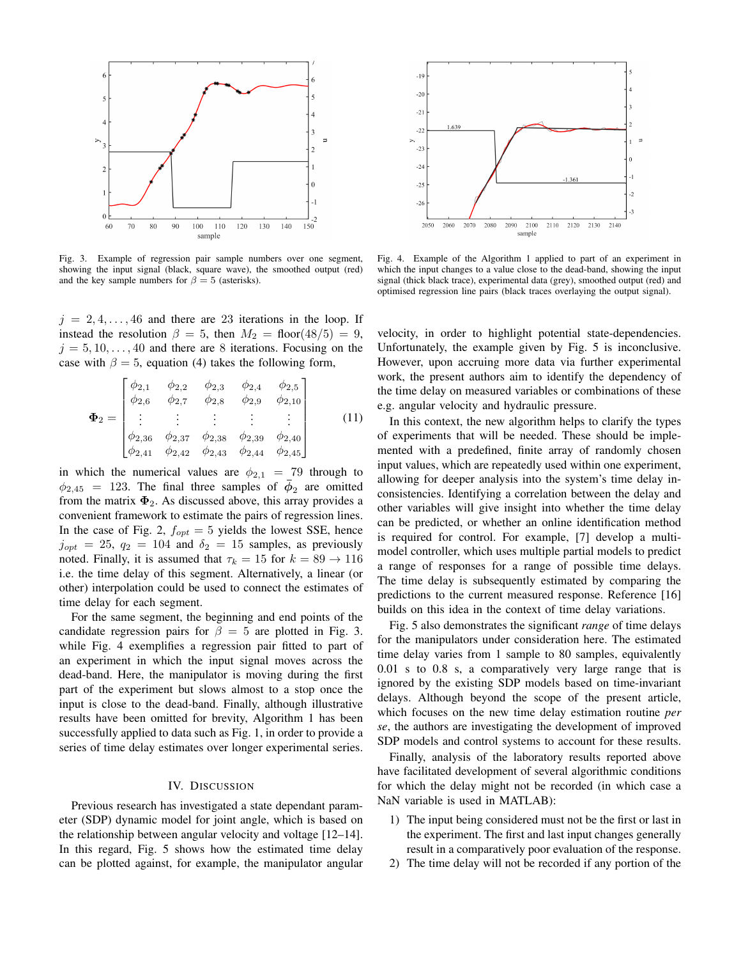

Fig. 3. Example of regression pair sample numbers over one segment, showing the input signal (black, square wave), the smoothed output (red) and the key sample numbers for  $\beta = 5$  (asterisks).

 $j = 2, 4, \ldots, 46$  and there are 23 iterations in the loop. If instead the resolution  $\beta = 5$ , then  $M_2 = \text{floor}(48/5) = 9$ ,  $j = 5, 10, \ldots, 40$  and there are 8 iterations. Focusing on the case with  $\beta = 5$ , equation (4) takes the following form,

$$
\Phi_2 = \begin{bmatrix}\n\phi_{2,1} & \phi_{2,2} & \phi_{2,3} & \phi_{2,4} & \phi_{2,5} \\
\phi_{2,6} & \phi_{2,7} & \phi_{2,8} & \phi_{2,9} & \phi_{2,10} \\
\vdots & \vdots & \vdots & \vdots & \vdots \\
\phi_{2,36} & \phi_{2,37} & \phi_{2,38} & \phi_{2,39} & \phi_{2,40} \\
\phi_{2,41} & \phi_{2,42} & \phi_{2,43} & \phi_{2,44} & \phi_{2,45}\n\end{bmatrix}
$$
\n(11)

in which the numerical values are  $\phi_{2,1} = 79$  through to  $\phi_{2,45}$  = 123. The final three samples of  $\bar{\phi}_2$  are omitted from the matrix  $\Phi_2$ . As discussed above, this array provides a convenient framework to estimate the pairs of regression lines. In the case of Fig. 2,  $f_{opt} = 5$  yields the lowest SSE, hence  $j_{opt}$  = 25,  $q_2$  = 104 and  $\delta_2$  = 15 samples, as previously noted. Finally, it is assumed that  $\tau_k = 15$  for  $k = 89 \rightarrow 116$ i.e. the time delay of this segment. Alternatively, a linear (or other) interpolation could be used to connect the estimates of time delay for each segment.

For the same segment, the beginning and end points of the candidate regression pairs for  $\beta = 5$  are plotted in Fig. 3. while Fig. 4 exemplifies a regression pair fitted to part of an experiment in which the input signal moves across the dead-band. Here, the manipulator is moving during the first part of the experiment but slows almost to a stop once the input is close to the dead-band. Finally, although illustrative results have been omitted for brevity, Algorithm 1 has been successfully applied to data such as Fig. 1, in order to provide a series of time delay estimates over longer experimental series.

## IV. DISCUSSION

Previous research has investigated a state dependant parameter (SDP) dynamic model for joint angle, which is based on the relationship between angular velocity and voltage [12–14]. In this regard, Fig. 5 shows how the estimated time delay can be plotted against, for example, the manipulator angular



Fig. 4. Example of the Algorithm 1 applied to part of an experiment in which the input changes to a value close to the dead-band, showing the input signal (thick black trace), experimental data (grey), smoothed output (red) and optimised regression line pairs (black traces overlaying the output signal).

velocity, in order to highlight potential state-dependencies. Unfortunately, the example given by Fig. 5 is inconclusive. However, upon accruing more data via further experimental work, the present authors aim to identify the dependency of the time delay on measured variables or combinations of these e.g. angular velocity and hydraulic pressure.

In this context, the new algorithm helps to clarify the types of experiments that will be needed. These should be implemented with a predefined, finite array of randomly chosen input values, which are repeatedly used within one experiment, allowing for deeper analysis into the system's time delay inconsistencies. Identifying a correlation between the delay and other variables will give insight into whether the time delay can be predicted, or whether an online identification method is required for control. For example, [7] develop a multimodel controller, which uses multiple partial models to predict a range of responses for a range of possible time delays. The time delay is subsequently estimated by comparing the predictions to the current measured response. Reference [16] builds on this idea in the context of time delay variations.

Fig. 5 also demonstrates the significant *range* of time delays for the manipulators under consideration here. The estimated time delay varies from 1 sample to 80 samples, equivalently 0.01 s to 0.8 s, a comparatively very large range that is ignored by the existing SDP models based on time-invariant delays. Although beyond the scope of the present article, which focuses on the new time delay estimation routine *per se*, the authors are investigating the development of improved SDP models and control systems to account for these results.

Finally, analysis of the laboratory results reported above have facilitated development of several algorithmic conditions for which the delay might not be recorded (in which case a NaN variable is used in MATLAB):

- 1) The input being considered must not be the first or last in the experiment. The first and last input changes generally result in a comparatively poor evaluation of the response.
- 2) The time delay will not be recorded if any portion of the